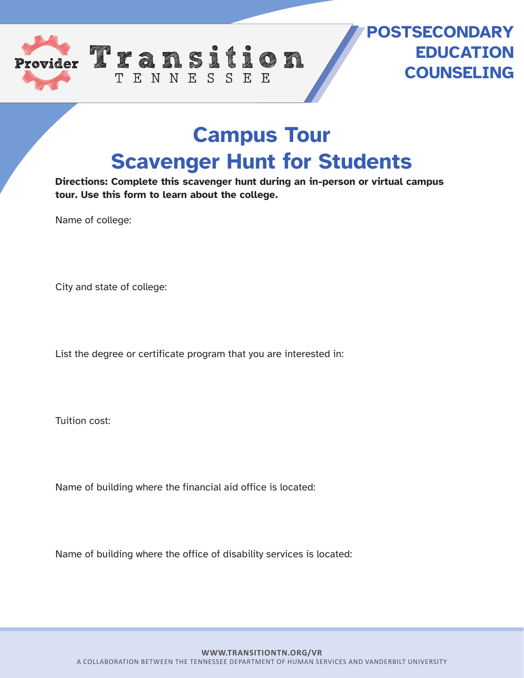

## **POSTSECONDARY EDUCATION COUNSELING**

## **Campus Tour Scavenger Hunt for Students**

**Directions: Complete this scavenger hunt during an in-person or virtual campus tour. Use this form to learn about the college.**

Name of college:

City and state of college:

List the degree or certificate program that you are interested in:

TENNESSEE

Tuition cost:

Name of building where the financial aid office is located:

Name of building where the office of disability services is located: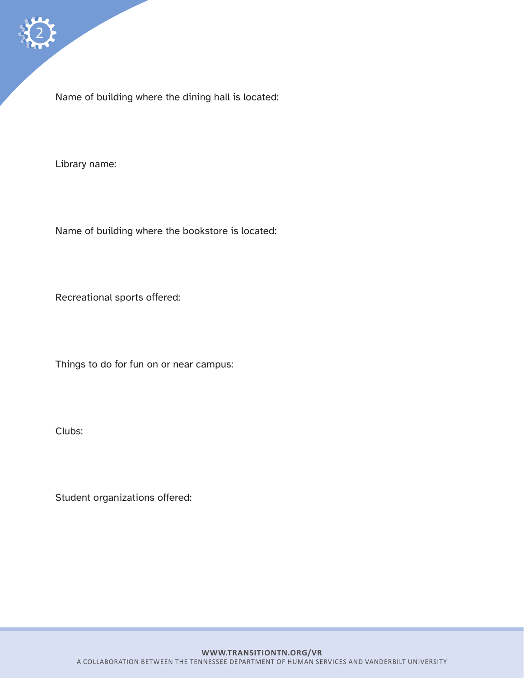Name of building where the dining hall is located:

Library name:

Name of building where the bookstore is located:

Recreational sports offered:

Things to do for fun on or near campus:

Clubs:

Student organizations offered: